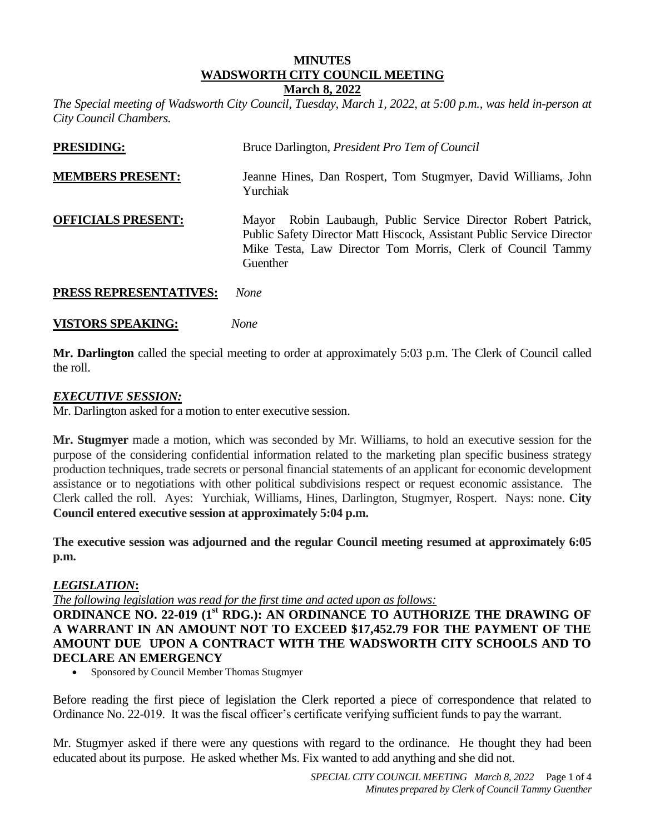### **MINUTES WADSWORTH CITY COUNCIL MEETING March 8, 2022**

*The Special meeting of Wadsworth City Council, Tuesday, March 1, 2022, at 5:00 p.m., was held in-person at City Council Chambers.* 

| <b>PRESIDING:</b>         | Bruce Darlington, President Pro Tem of Council                                                                                                                                                                               |
|---------------------------|------------------------------------------------------------------------------------------------------------------------------------------------------------------------------------------------------------------------------|
| <b>MEMBERS PRESENT:</b>   | Jeanne Hines, Dan Rospert, Tom Stugmyer, David Williams, John<br>Yurchiak                                                                                                                                                    |
| <b>OFFICIALS PRESENT:</b> | Robin Laubaugh, Public Service Director Robert Patrick,<br><b>Mayor</b><br>Public Safety Director Matt Hiscock, Assistant Public Service Director<br>Mike Testa, Law Director Tom Morris, Clerk of Council Tammy<br>Guenther |
| PRESS REPRESENTATIVES:    | <b>None</b>                                                                                                                                                                                                                  |

### **VISTORS SPEAKING:** *None*

**Mr. Darlington** called the special meeting to order at approximately 5:03 p.m. The Clerk of Council called the roll.

## *EXECUTIVE SESSION:*

Mr. Darlington asked for a motion to enter executive session.

**Mr. Stugmyer** made a motion, which was seconded by Mr. Williams, to hold an executive session for the purpose of the considering confidential information related to the marketing plan specific business strategy production techniques, trade secrets or personal financial statements of an applicant for economic development assistance or to negotiations with other political subdivisions respect or request economic assistance. The Clerk called the roll. Ayes: Yurchiak, Williams, Hines, Darlington, Stugmyer, Rospert. Nays: none. **City Council entered executive session at approximately 5:04 p.m.**

**The executive session was adjourned and the regular Council meeting resumed at approximately 6:05 p.m.**

## *LEGISLATION***:**

*The following legislation was read for the first time and acted upon as follows:*

**ORDINANCE NO. 22-019 (1st RDG.): AN ORDINANCE TO AUTHORIZE THE DRAWING OF A WARRANT IN AN AMOUNT NOT TO EXCEED \$17,452.79 FOR THE PAYMENT OF THE AMOUNT DUE UPON A CONTRACT WITH THE WADSWORTH CITY SCHOOLS AND TO DECLARE AN EMERGENCY** 

• Sponsored by Council Member Thomas Stugmyer

Before reading the first piece of legislation the Clerk reported a piece of correspondence that related to Ordinance No. 22-019. It was the fiscal officer's certificate verifying sufficient funds to pay the warrant.

Mr. Stugmyer asked if there were any questions with regard to the ordinance. He thought they had been educated about its purpose. He asked whether Ms. Fix wanted to add anything and she did not.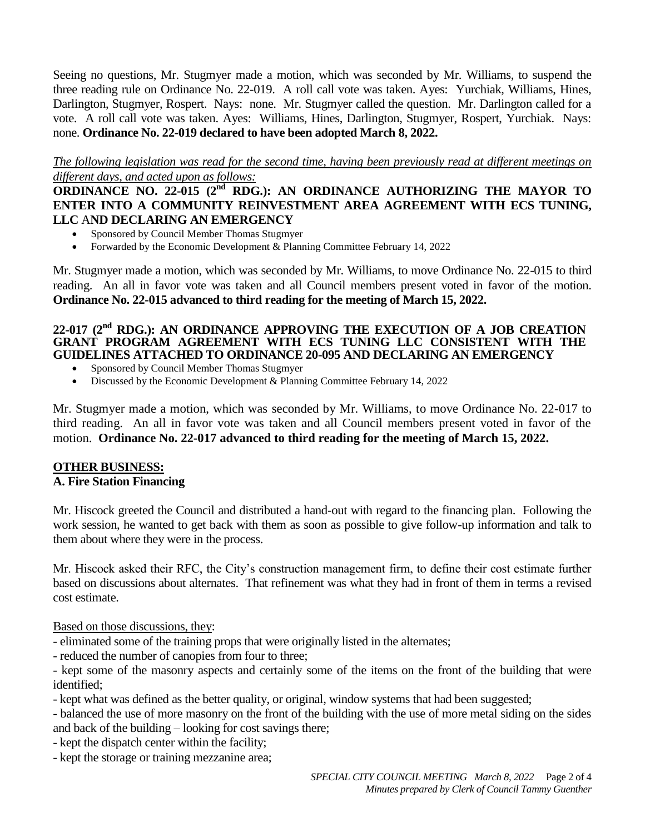Seeing no questions, Mr. Stugmyer made a motion, which was seconded by Mr. Williams, to suspend the three reading rule on Ordinance No. 22-019. A roll call vote was taken. Ayes: Yurchiak, Williams, Hines, Darlington, Stugmyer, Rospert. Nays: none. Mr. Stugmyer called the question. Mr. Darlington called for a vote. A roll call vote was taken. Ayes: Williams, Hines, Darlington, Stugmyer, Rospert, Yurchiak. Nays: none. **Ordinance No. 22-019 declared to have been adopted March 8, 2022.**

*The following legislation was read for the second time, having been previously read at different meetings on different days, and acted upon as follows:* 

**ORDINANCE NO. 22-015 (2nd RDG.): AN ORDINANCE AUTHORIZING THE MAYOR TO ENTER INTO A COMMUNITY REINVESTMENT AREA AGREEMENT WITH ECS TUNING, LLC** A**ND DECLARING AN EMERGENCY**

- Sponsored by Council Member Thomas Stugmyer
- Forwarded by the Economic Development & Planning Committee February 14, 2022

Mr. Stugmyer made a motion, which was seconded by Mr. Williams, to move Ordinance No. 22-015 to third reading. An all in favor vote was taken and all Council members present voted in favor of the motion. **Ordinance No. 22-015 advanced to third reading for the meeting of March 15, 2022.**

#### **22-017 (2nd RDG.): AN ORDINANCE APPROVING THE EXECUTION OF A JOB CREATION GRANT PROGRAM AGREEMENT WITH ECS TUNING LLC CONSISTENT WITH THE GUIDELINES ATTACHED TO ORDINANCE 20-095 AND DECLARING AN EMERGENCY**

- Sponsored by Council Member Thomas Stugmyer
- Discussed by the Economic Development & Planning Committee February 14, 2022

Mr. Stugmyer made a motion, which was seconded by Mr. Williams, to move Ordinance No. 22-017 to third reading. An all in favor vote was taken and all Council members present voted in favor of the motion. **Ordinance No. 22-017 advanced to third reading for the meeting of March 15, 2022.**

## **OTHER BUSINESS:**

# **A. Fire Station Financing**

Mr. Hiscock greeted the Council and distributed a hand-out with regard to the financing plan. Following the work session, he wanted to get back with them as soon as possible to give follow-up information and talk to them about where they were in the process.

Mr. Hiscock asked their RFC, the City's construction management firm, to define their cost estimate further based on discussions about alternates. That refinement was what they had in front of them in terms a revised cost estimate.

Based on those discussions, they:

- eliminated some of the training props that were originally listed in the alternates;

- reduced the number of canopies from four to three;

- kept some of the masonry aspects and certainly some of the items on the front of the building that were identified;

- kept what was defined as the better quality, or original, window systems that had been suggested;

- balanced the use of more masonry on the front of the building with the use of more metal siding on the sides and back of the building – looking for cost savings there;

- kept the dispatch center within the facility;

- kept the storage or training mezzanine area;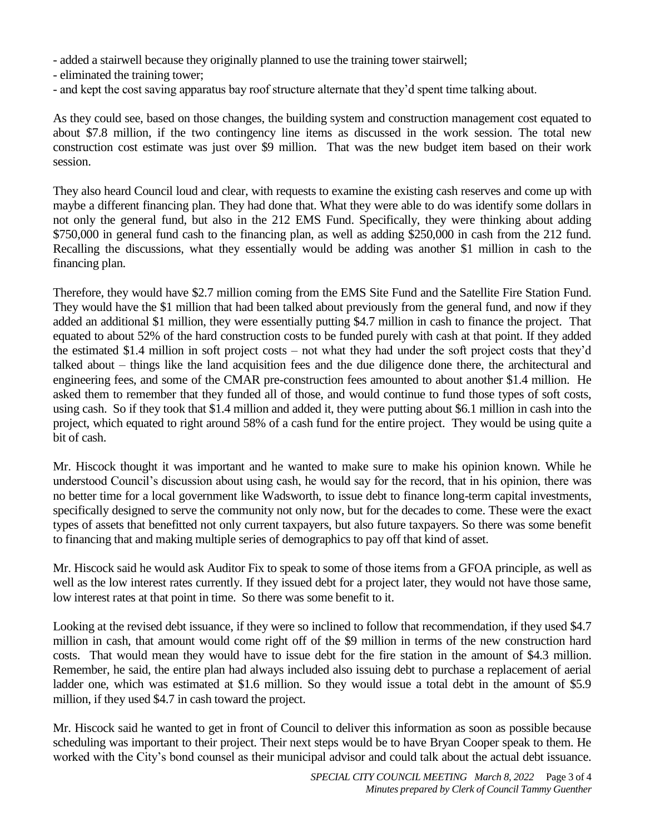- added a stairwell because they originally planned to use the training tower stairwell;

- eliminated the training tower;
- and kept the cost saving apparatus bay roof structure alternate that they'd spent time talking about.

As they could see, based on those changes, the building system and construction management cost equated to about \$7.8 million, if the two contingency line items as discussed in the work session. The total new construction cost estimate was just over \$9 million. That was the new budget item based on their work session.

They also heard Council loud and clear, with requests to examine the existing cash reserves and come up with maybe a different financing plan. They had done that. What they were able to do was identify some dollars in not only the general fund, but also in the 212 EMS Fund. Specifically, they were thinking about adding \$750,000 in general fund cash to the financing plan, as well as adding \$250,000 in cash from the 212 fund. Recalling the discussions, what they essentially would be adding was another \$1 million in cash to the financing plan.

Therefore, they would have \$2.7 million coming from the EMS Site Fund and the Satellite Fire Station Fund. They would have the \$1 million that had been talked about previously from the general fund, and now if they added an additional \$1 million, they were essentially putting \$4.7 million in cash to finance the project. That equated to about 52% of the hard construction costs to be funded purely with cash at that point. If they added the estimated \$1.4 million in soft project costs – not what they had under the soft project costs that they'd talked about – things like the land acquisition fees and the due diligence done there, the architectural and engineering fees, and some of the CMAR pre-construction fees amounted to about another \$1.4 million. He asked them to remember that they funded all of those, and would continue to fund those types of soft costs, using cash. So if they took that \$1.4 million and added it, they were putting about \$6.1 million in cash into the project, which equated to right around 58% of a cash fund for the entire project. They would be using quite a bit of cash.

Mr. Hiscock thought it was important and he wanted to make sure to make his opinion known. While he understood Council's discussion about using cash, he would say for the record, that in his opinion, there was no better time for a local government like Wadsworth, to issue debt to finance long-term capital investments, specifically designed to serve the community not only now, but for the decades to come. These were the exact types of assets that benefitted not only current taxpayers, but also future taxpayers. So there was some benefit to financing that and making multiple series of demographics to pay off that kind of asset.

Mr. Hiscock said he would ask Auditor Fix to speak to some of those items from a GFOA principle, as well as well as the low interest rates currently. If they issued debt for a project later, they would not have those same, low interest rates at that point in time. So there was some benefit to it.

Looking at the revised debt issuance, if they were so inclined to follow that recommendation, if they used \$4.7 million in cash, that amount would come right off of the \$9 million in terms of the new construction hard costs. That would mean they would have to issue debt for the fire station in the amount of \$4.3 million. Remember, he said, the entire plan had always included also issuing debt to purchase a replacement of aerial ladder one, which was estimated at \$1.6 million. So they would issue a total debt in the amount of \$5.9 million, if they used \$4.7 in cash toward the project.

Mr. Hiscock said he wanted to get in front of Council to deliver this information as soon as possible because scheduling was important to their project. Their next steps would be to have Bryan Cooper speak to them. He worked with the City's bond counsel as their municipal advisor and could talk about the actual debt issuance.